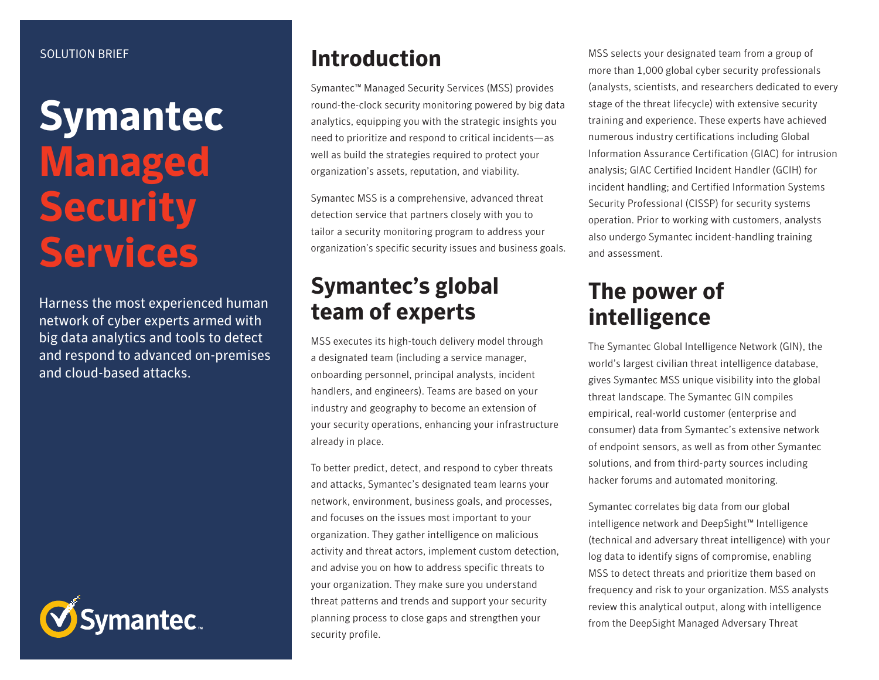#### SOLUTION BRIEF

# **Symantec Managed Security Services**

Harness the most experienced human network of cyber experts armed with big data analytics and tools to detect and respond to advanced on-premises and cloud-based attacks.



#### **Introduction**

Symantec™ Managed Security Services (MSS) provides round-the-clock security monitoring powered by big data analytics, equipping you with the strategic insights you need to prioritize and respond to critical incidents—as well as build the strategies required to protect your organization's assets, reputation, and viability.

Symantec MSS is a comprehensive, advanced threat detection service that partners closely with you to tailor a security monitoring program to address your organization's specific security issues and business goals.

### **Symantec's global team of experts**

MSS executes its high-touch delivery model through a designated team (including a service manager, onboarding personnel, principal analysts, incident handlers, and engineers). Teams are based on your industry and geography to become an extension of your security operations, enhancing your infrastructure already in place.

To better predict, detect, and respond to cyber threats and attacks, Symantec's designated team learns your network, environment, business goals, and processes, and focuses on the issues most important to your organization. They gather intelligence on malicious activity and threat actors, implement custom detection, and advise you on how to address specific threats to your organization. They make sure you understand threat patterns and trends and support your security planning process to close gaps and strengthen your security profile.

MSS selects your designated team from a group of more than 1,000 global cyber security professionals (analysts, scientists, and researchers dedicated to every stage of the threat lifecycle) with extensive security training and experience. These experts have achieved numerous industry certifications including Global Information Assurance Certification (GIAC) for intrusion analysis; GIAC Certified Incident Handler (GCIH) for incident handling; and Certified Information Systems Security Professional (CISSP) for security systems operation. Prior to working with customers, analysts also undergo Symantec incident-handling training and assessment.

### **The power of intelligence**

The Symantec Global Intelligence Network (GIN), the world's largest civilian threat intelligence database, gives Symantec MSS unique visibility into the global threat landscape. The Symantec GIN compiles empirical, real-world customer (enterprise and consumer) data from Symantec's extensive network of endpoint sensors, as well as from other Symantec solutions, and from third-party sources including hacker forums and automated monitoring.

Symantec correlates big data from our global intelligence network and DeepSight™ Intelligence (technical and adversary threat intelligence) with your log data to identify signs of compromise, enabling MSS to detect threats and prioritize them based on frequency and risk to your organization. MSS analysts review this analytical output, along with intelligence from the DeepSight Managed Adversary Threat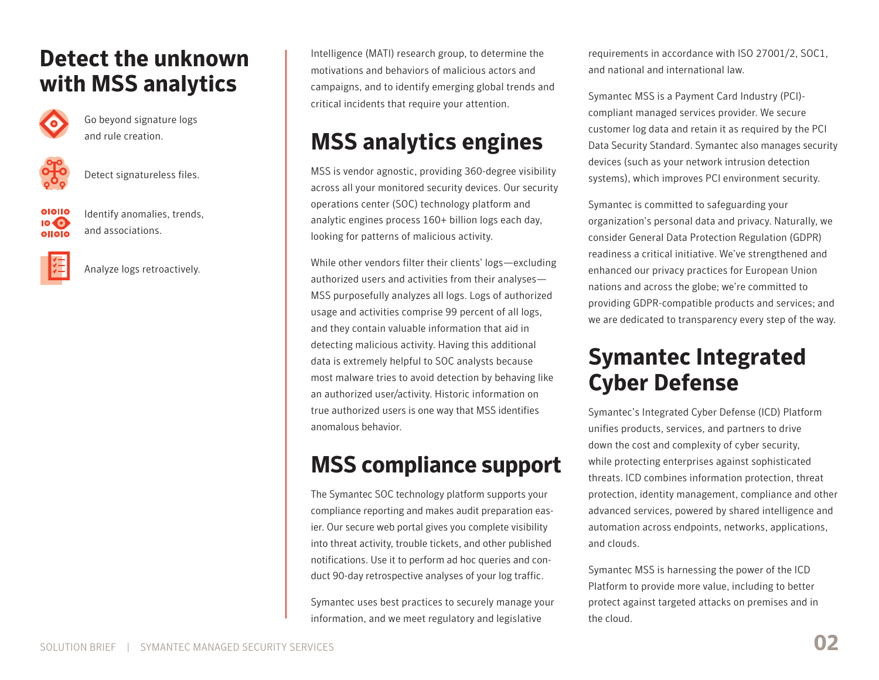### **Detect the unknown with MSS analytics**



Go beyond signature logs and rule creation.



Detect signatureless files.

010110 011010

Identify anomalies, trends, and associations.



Analyze logs retroactively.

Intelligence (MATI) research group, to determine the motivations and behaviors of malicious actors and campaigns, and to identify emerging global trends and critical incidents that require your attention.

# **MSS analytics engines**

MSS is vendor agnostic, providing 360-degree visibility across all your monitored security devices. Our security operations center (SOC) technology platform and analytic engines process 160+ billion logs each day, looking for patterns of malicious activity.

While other vendors filter their clients' logs—excluding authorized users and activities from their analyses— MSS purposefully analyzes all logs. Logs of authorized usage and activities comprise 99 percent of all logs, and they contain valuable information that aid in detecting malicious activity. Having this additional data is extremely helpful to SOC analysts because most malware tries to avoid detection by behaving like an authorized user/activity. Historic information on true authorized users is one way that MSS identifies anomalous behavior.

# **MSS compliance support**

The Symantec SOC technology platform supports your compliance reporting and makes audit preparation easier. Our secure web portal gives you complete visibility into threat activity, trouble tickets, and other published notifications. Use it to perform ad hoc queries and conduct 90-day retrospective analyses of your log traffic.

Symantec uses best practices to securely manage your information, and we meet regulatory and legislative

requirements in accordance with ISO 27001/2, SOC1, and national and international law.

Symantec MSS is a Payment Card Industry (PCI) compliant managed services provider. We secure customer log data and retain it as required by the PCI Data Security Standard. Symantec also manages security devices (such as your network intrusion detection systems), which improves PCI environment security.

Symantec is committed to safeguarding your organization's personal data and privacy. Naturally, we consider General Data Protection Regulation (GDPR) readiness a critical initiative. We've strengthened and enhanced our privacy practices for European Union nations and across the globe; we're committed to providing GDPR-compatible products and services; and we are dedicated to transparency every step of the way.

## **Symantec Integrated Cyber Defense**

Symantec's Integrated Cyber Defense (ICD) Platform unifies products, services, and partners to drive down the cost and complexity of cyber security, while protecting enterprises against sophisticated threats. ICD combines information protection, threat protection, identity management, compliance and other advanced services, powered by shared intelligence and automation across endpoints, networks, applications, and clouds.

Symantec MSS is harnessing the power of the ICD Platform to provide more value, including to better protect against targeted attacks on premises and in the cloud.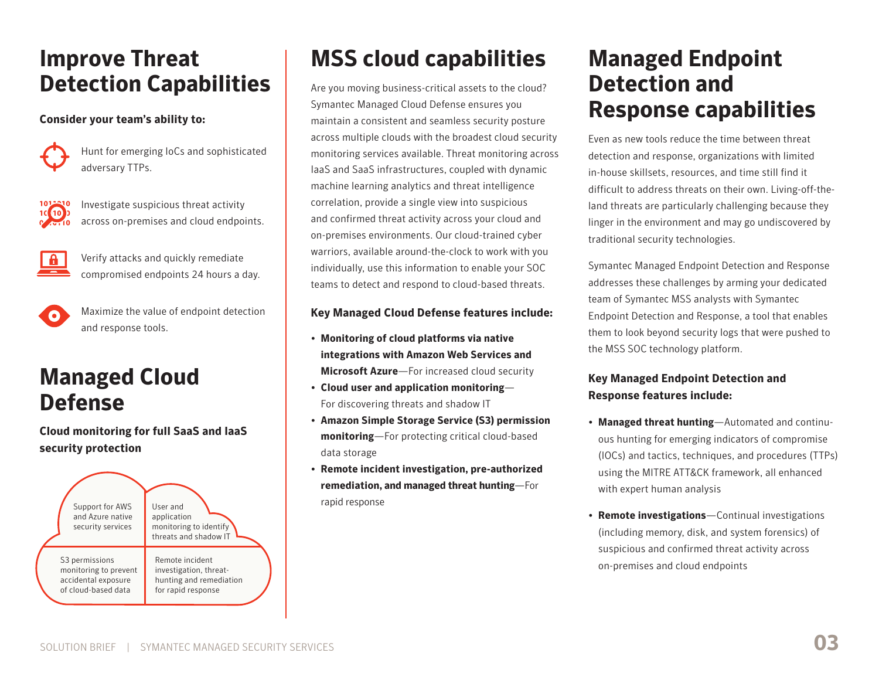### **Improve Threat Detection Capabilities**

#### **Consider your team's ability to:**



Hunt for emerging IoCs and sophisticated adversary TTPs.



Investigate suspicious threat activity across on-premises and cloud endpoints.



Verify attacks and quickly remediate compromised endpoints 24 hours a day.



Maximize the value of endpoint detection and response tools.

### **Managed Cloud Defense**

**Cloud monitoring for full SaaS and IaaS security protection**



# **MSS cloud capabilities**

Are you moving business-critical assets to the cloud? Symantec Managed Cloud Defense ensures you maintain a consistent and seamless security posture across multiple clouds with the broadest cloud security monitoring services available. Threat monitoring across IaaS and SaaS infrastructures, coupled with dynamic machine learning analytics and threat intelligence correlation, provide a single view into suspicious and confirmed threat activity across your cloud and on-premises environments. Our cloud-trained cyber warriors, available around-the-clock to work with you individually, use this information to enable your SOC teams to detect and respond to cloud-based threats.

#### **Key Managed Cloud Defense features include:**

- **Monitoring of cloud platforms via native integrations with Amazon Web Services and Microsoft Azure**—For increased cloud security
- **Cloud user and application monitoring** For discovering threats and shadow IT
- **Amazon Simple Storage Service (S3) permission monitoring**—For protecting critical cloud-based data storage
- **Remote incident investigation, pre-authorized remediation, and managed threat hunting**—For rapid response

### **Managed Endpoint Detection and Response capabilities**

Even as new tools reduce the time between threat detection and response, organizations with limited in-house skillsets, resources, and time still find it difficult to address threats on their own. Living-off-theland threats are particularly challenging because they linger in the environment and may go undiscovered by traditional security technologies.

Symantec Managed Endpoint Detection and Response addresses these challenges by arming your dedicated team of Symantec MSS analysts with Symantec Endpoint Detection and Response, a tool that enables them to look beyond security logs that were pushed to the MSS SOC technology platform.

#### **Key Managed Endpoint Detection and Response features include:**

- **Managed threat hunting**—Automated and continuous hunting for emerging indicators of compromise (IOCs) and tactics, techniques, and procedures (TTPs) using the MITRE ATT&CK framework, all enhanced with expert human analysis
- **Remote investigations**—Continual investigations (including memory, disk, and system forensics) of suspicious and confirmed threat activity across on-premises and cloud endpoints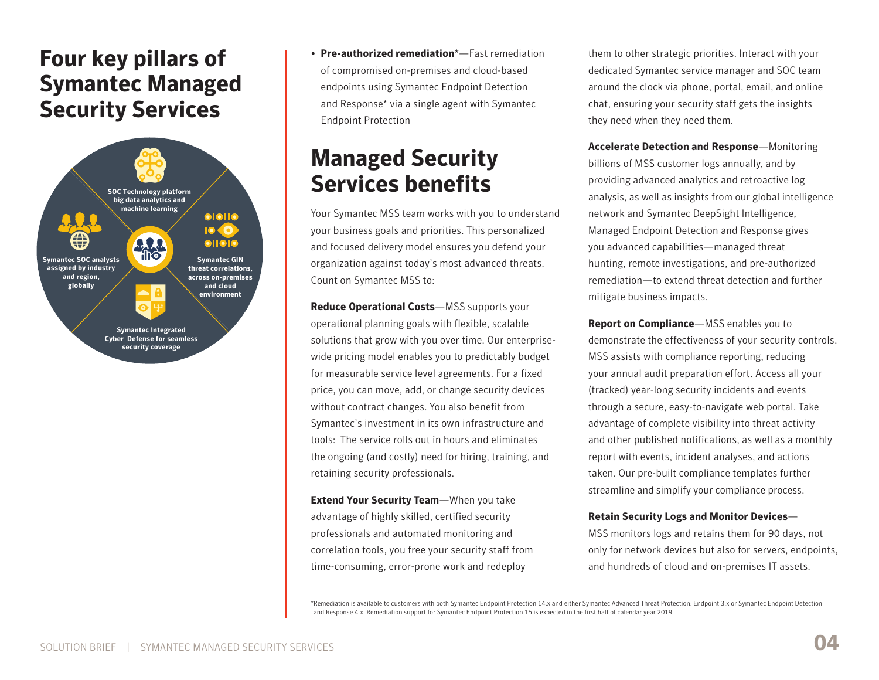### **Four key pillars of Symantec Managed Security Services**



• **Pre-authorized remediation**\*—Fast remediation of compromised on-premises and cloud-based endpoints using Symantec Endpoint Detection and Response\* via a single agent with Symantec Endpoint Protection

### **Managed Security Services benefits**

Your Symantec MSS team works with you to understand your business goals and priorities. This personalized and focused delivery model ensures you defend your organization against today's most advanced threats. Count on Symantec MSS to:

**Reduce Operational Costs**—MSS supports your operational planning goals with flexible, scalable solutions that grow with you over time. Our enterprisewide pricing model enables you to predictably budget for measurable service level agreements. For a fixed price, you can move, add, or change security devices without contract changes. You also benefit from Symantec's investment in its own infrastructure and tools: The service rolls out in hours and eliminates the ongoing (and costly) need for hiring, training, and retaining security professionals.

**Extend Your Security Team**—When you take advantage of highly skilled, certified security professionals and automated monitoring and correlation tools, you free your security staff from time-consuming, error-prone work and redeploy

them to other strategic priorities. Interact with your dedicated Symantec service manager and SOC team around the clock via phone, portal, email, and online chat, ensuring your security staff gets the insights they need when they need them.

**Accelerate Detection and Response**—Monitoring billions of MSS customer logs annually, and by providing advanced analytics and retroactive log analysis, as well as insights from our global intelligence network and Symantec DeepSight Intelligence, Managed Endpoint Detection and Response gives you advanced capabilities—managed threat hunting, remote investigations, and pre-authorized remediation—to extend threat detection and further mitigate business impacts.

**Report on Compliance**—MSS enables you to demonstrate the effectiveness of your security controls. MSS assists with compliance reporting, reducing your annual audit preparation effort. Access all your (tracked) year-long security incidents and events through a secure, easy-to-navigate web portal. Take advantage of complete visibility into threat activity and other published notifications, as well as a monthly report with events, incident analyses, and actions taken. Our pre-built compliance templates further streamline and simplify your compliance process.

#### **Retain Security Logs and Monitor Devices**—

MSS monitors logs and retains them for 90 days, not only for network devices but also for servers, endpoints, and hundreds of cloud and on-premises IT assets.

\*Remediation is available to customers with both Symantec Endpoint Protection 14.x and either Symantec Advanced Threat Protection: Endpoint 3.x or Symantec Endpoint Detection and Response 4.x. Remediation support for Symantec Endpoint Protection 15 is expected in the first half of calendar year 2019.